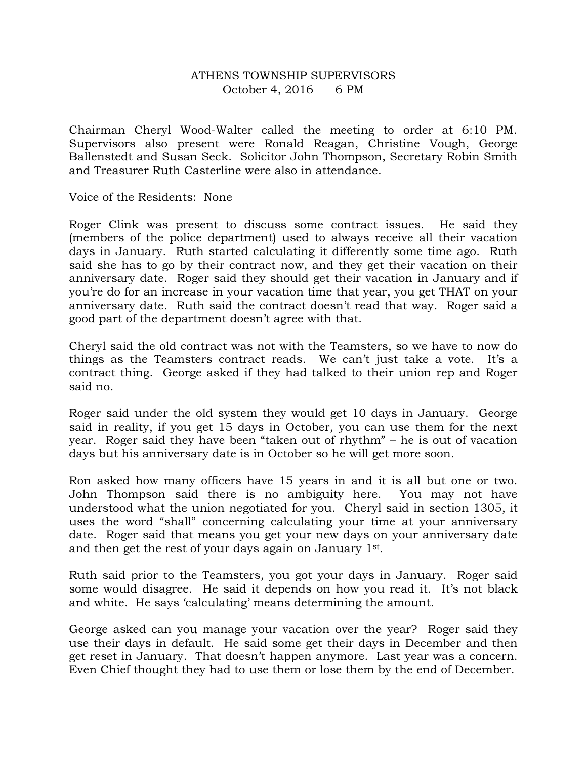## ATHENS TOWNSHIP SUPERVISORS October 4, 2016 6 PM

Chairman Cheryl Wood-Walter called the meeting to order at 6:10 PM. Supervisors also present were Ronald Reagan, Christine Vough, George Ballenstedt and Susan Seck. Solicitor John Thompson, Secretary Robin Smith and Treasurer Ruth Casterline were also in attendance.

Voice of the Residents: None

Roger Clink was present to discuss some contract issues. He said they (members of the police department) used to always receive all their vacation days in January. Ruth started calculating it differently some time ago. Ruth said she has to go by their contract now, and they get their vacation on their anniversary date. Roger said they should get their vacation in January and if you're do for an increase in your vacation time that year, you get THAT on your anniversary date. Ruth said the contract doesn't read that way. Roger said a good part of the department doesn't agree with that.

Cheryl said the old contract was not with the Teamsters, so we have to now do things as the Teamsters contract reads. We can't just take a vote. It's a contract thing. George asked if they had talked to their union rep and Roger said no.

Roger said under the old system they would get 10 days in January. George said in reality, if you get 15 days in October, you can use them for the next year. Roger said they have been "taken out of rhythm" – he is out of vacation days but his anniversary date is in October so he will get more soon.

Ron asked how many officers have 15 years in and it is all but one or two. John Thompson said there is no ambiguity here. You may not have understood what the union negotiated for you. Cheryl said in section 1305, it uses the word "shall" concerning calculating your time at your anniversary date. Roger said that means you get your new days on your anniversary date and then get the rest of your days again on January 1st.

Ruth said prior to the Teamsters, you got your days in January. Roger said some would disagree. He said it depends on how you read it. It's not black and white. He says 'calculating' means determining the amount.

George asked can you manage your vacation over the year? Roger said they use their days in default. He said some get their days in December and then get reset in January. That doesn't happen anymore. Last year was a concern. Even Chief thought they had to use them or lose them by the end of December.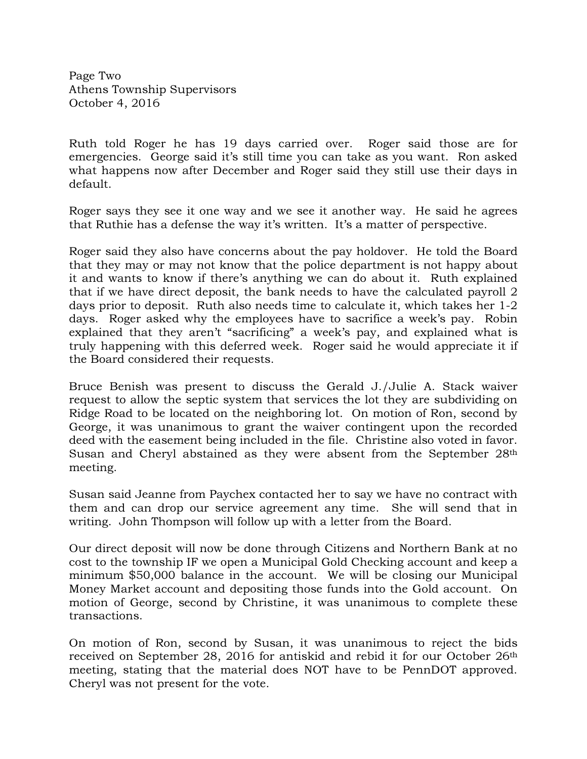Page Two Athens Township Supervisors October 4, 2016

Ruth told Roger he has 19 days carried over. Roger said those are for emergencies. George said it's still time you can take as you want. Ron asked what happens now after December and Roger said they still use their days in default.

Roger says they see it one way and we see it another way. He said he agrees that Ruthie has a defense the way it's written. It's a matter of perspective.

Roger said they also have concerns about the pay holdover. He told the Board that they may or may not know that the police department is not happy about it and wants to know if there's anything we can do about it. Ruth explained that if we have direct deposit, the bank needs to have the calculated payroll 2 days prior to deposit. Ruth also needs time to calculate it, which takes her 1-2 days. Roger asked why the employees have to sacrifice a week's pay. Robin explained that they aren't "sacrificing" a week's pay, and explained what is truly happening with this deferred week. Roger said he would appreciate it if the Board considered their requests.

Bruce Benish was present to discuss the Gerald J./Julie A. Stack waiver request to allow the septic system that services the lot they are subdividing on Ridge Road to be located on the neighboring lot. On motion of Ron, second by George, it was unanimous to grant the waiver contingent upon the recorded deed with the easement being included in the file. Christine also voted in favor. Susan and Cheryl abstained as they were absent from the September 28<sup>th</sup> meeting.

Susan said Jeanne from Paychex contacted her to say we have no contract with them and can drop our service agreement any time. She will send that in writing. John Thompson will follow up with a letter from the Board.

Our direct deposit will now be done through Citizens and Northern Bank at no cost to the township IF we open a Municipal Gold Checking account and keep a minimum \$50,000 balance in the account. We will be closing our Municipal Money Market account and depositing those funds into the Gold account. On motion of George, second by Christine, it was unanimous to complete these transactions.

On motion of Ron, second by Susan, it was unanimous to reject the bids received on September 28, 2016 for antiskid and rebid it for our October 26th meeting, stating that the material does NOT have to be PennDOT approved. Cheryl was not present for the vote.